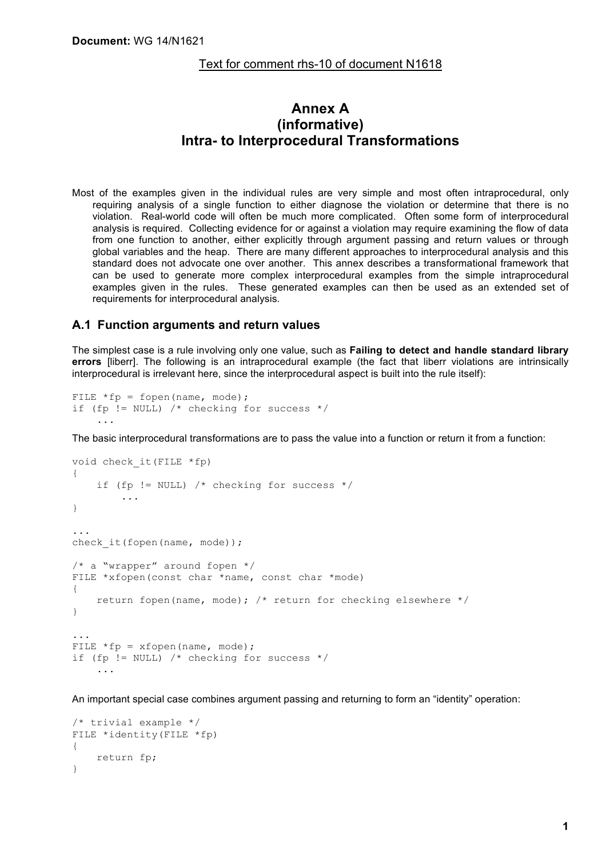#### Text for comment rhs-10 of document N1618

# **Annex A (informative) Intra- to Interprocedural Transformations**

Most of the examples given in the individual rules are very simple and most often intraprocedural, only requiring analysis of a single function to either diagnose the violation or determine that there is no violation. Real-world code will often be much more complicated. Often some form of interprocedural analysis is required. Collecting evidence for or against a violation may require examining the flow of data from one function to another, either explicitly through argument passing and return values or through global variables and the heap. There are many different approaches to interprocedural analysis and this standard does not advocate one over another. This annex describes a transformational framework that can be used to generate more complex interprocedural examples from the simple intraprocedural examples given in the rules. These generated examples can then be used as an extended set of requirements for interprocedural analysis.

#### **A.1 Function arguments and return values**

The simplest case is a rule involving only one value, such as **Failing to detect and handle standard library errors** [liberr]. The following is an intraprocedural example (the fact that liberr violations are intrinsically interprocedural is irrelevant here, since the interprocedural aspect is built into the rule itself):

```
FILE *fp = fopen(name, mode);if (fp != NULL) /* checking for success */ ...
```
The basic interprocedural transformations are to pass the value into a function or return it from a function:

```
void check_it(FILE *fp)
{
    if (fp != NULL) /* checking for success */ ...
}
...
check it(fopen(name, mode));
/* a "wrapper" around for <math>*</math> /FILE *xfopen(const char *name, const char *mode)
{
    return fopen(name, mode); /* return for checking elsewhere */}
...
FILE *fp = xfopen(name, mode);if (fp != NULL) /* checking for success */ ...
```
An important special case combines argument passing and returning to form an "identity" operation:

```
/* trivial example */
FILE *identity(FILE *fp)
{
     return fp;
}
```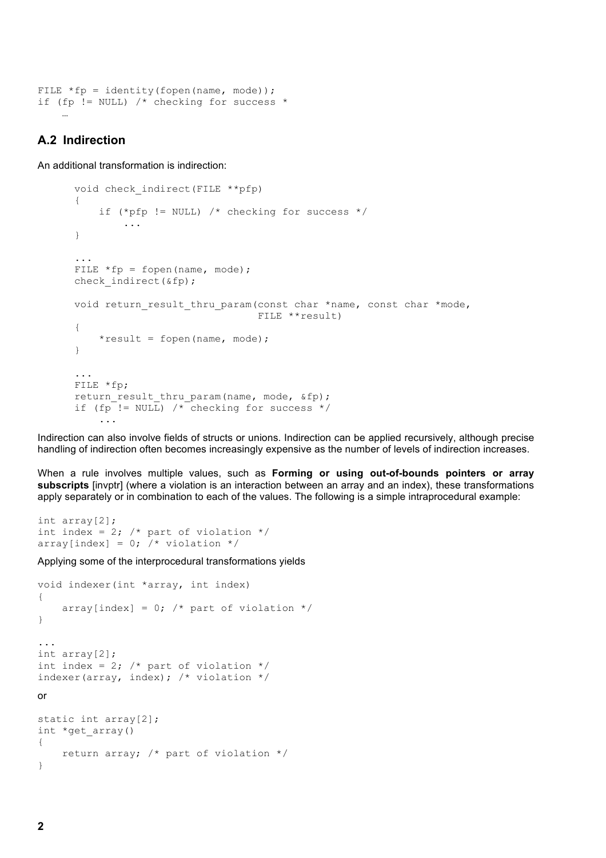```
FILE *fp = identity(fopen(name, mode));if (fp != NULL) \frac{1}{x} checking for success *
```
## **A.2 Indirection**

…

An additional transformation is indirection:

```
 void check_indirect(FILE **pfp)
 {
    if (*pfp != NULL) /* checking for success */
         ...
 }
 ...
FILE *fp = fopen(name, mode);check indirect(&fp);
void return result thru param(const char *name, const char *mode,
                                 FILE **result)
 {
    *result = fopen(name, mode);
 }
 ...
 FILE *fp;
return result thru param(name, mode, &fp);
if (fp != NULL) /* checking for success */
     ...
```
Indirection can also involve fields of structs or unions. Indirection can be applied recursively, although precise handling of indirection often becomes increasingly expensive as the number of levels of indirection increases.

When a rule involves multiple values, such as **Forming or using out-of-bounds pointers or array subscripts** [invptr] (where a violation is an interaction between an array and an index), these transformations apply separately or in combination to each of the values. The following is a simple intraprocedural example:

```
int array[2];
int index = 2; /* part of violation */
array[index] = 0; /* violation */
```
Applying some of the interprocedural transformations yields

```
void indexer(int *array, int index)
{
    array[index] = 0; /* part of violation */
}
...
int array[2];
int index = 2; /* part of violation */indexer(array, index); /* violation */or
static int array[2];
int *get_array()
{
     return array; /* part of violation */
}
```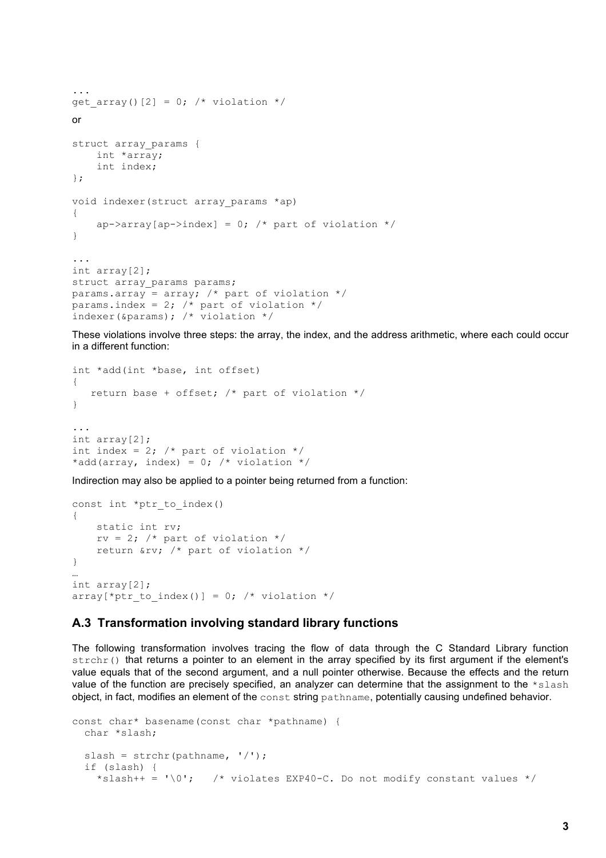```
...
get array()[2] = 0; /* violation */
or
struct array params {
     int *array;
     int index;
};
void indexer(struct array params *ap)
{
    ap->array[ap->index] = 0; /* part of violation */
}
...
int array[2];
struct array params params;
params.array = array; /* part of violation */params.index = 2; /* part of violation */indexer(\text{sparams}); /* violation */
```
These violations involve three steps: the array, the index, and the address arithmetic, where each could occur in a different function:

```
int *add(int *base, int offset)
{
    return base + offset; /* part of violation */
}
...
int array[2];
int index = 2; /* part of violation */
*add(array, index) = 0; /* violation */
```
Indirection may also be applied to a pointer being returned from a function:

```
const int *ptr to index()
{
     static int rv;
    rv = 2; /* part of violation */ return &rv; /* part of violation */
}
…
int array[2];
array[*ptr_to_index()] = 0; /* violation */
```
## **A.3 Transformation involving standard library functions**

The following transformation involves tracing the flow of data through the C Standard Library function strchr() that returns a pointer to an element in the array specified by its first argument if the element's value equals that of the second argument, and a null pointer otherwise. Because the effects and the return value of the function are precisely specified, an analyzer can determine that the assignment to the \*slash object, in fact, modifies an element of the const string pathname, potentially causing undefined behavior.

```
const char* basename(const char *pathname) {
   char *slash;
  slash = strchr(pathname, \sqrt{(1)};
   if (slash) {
    *slash++ = ' \cdot 0'; /* violates EXP40-C. Do not modify constant values */
```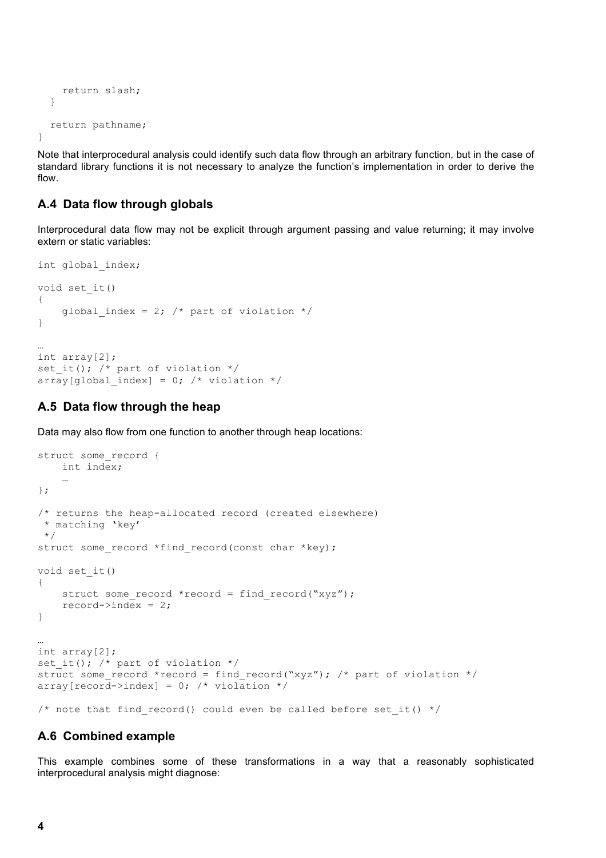```
 return slash;
   }
   return pathname;
}
```
Note that interprocedural analysis could identify such data flow through an arbitrary function, but in the case of standard library functions it is not necessary to analyze the function's implementation in order to derive the flow.

# **A.4 Data flow through globals**

Interprocedural data flow may not be explicit through argument passing and value returning; it may involve extern or static variables:

```
int global_index;
void set_it()
{
    global index = 2; /* part of violation */
}
…
int array[2];
set it(); /* part of violation */array[global index] = 0; /* violation */
```
## **A.5 Data flow through the heap**

Data may also flow from one function to another through heap locations:

```
struct some record {
     int index;
 …
};
/* returns the heap-allocated record (created elsewhere)
  * matching 'key'
 */
struct some record *find record(const char *key);
void set_it()
{
    struct some record *record = find record("xyz");
    record->index = 2;
}
…
int array[2];
set_it(); /* part of violation */
struct some record *record = find record("xyz"); /* part of violation */
\bar{a} array[record->index] = 0; /* violation */
/* note that find record() could even be called before set it() */
```
#### **A.6 Combined example**

This example combines some of these transformations in a way that a reasonably sophisticated interprocedural analysis might diagnose: